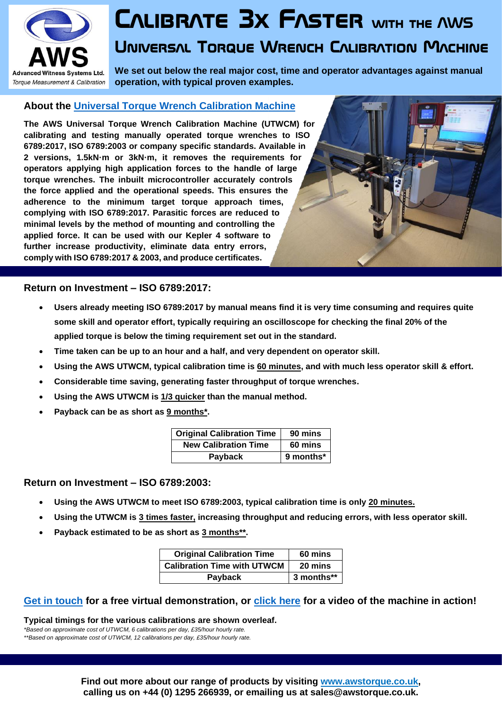

# **Calibrate 3x Faster with the AWS**

# **Universal Torque Wrench Calibration Machine**

**We set out below the real major cost, time and operator advantages against manual operation, with typical proven examples.**

## **About the [Universal Torque Wrench Calibration Machine](http://awstorque.co.uk/products/calibration-machines/utwcm.html)**

**The AWS Universal Torque Wrench Calibration Machine (UTWCM) for calibrating and testing manually operated torque wrenches to ISO 6789:2017, ISO 6789:2003 or company specific standards. Available in 2 versions, 1.5kN·m or 3kN·m, it removes the requirements for operators applying high application forces to the handle of large torque wrenches. The inbuilt microcontroller accurately controls the force applied and the operational speeds. This ensures the adherence to the minimum target torque approach times, complying with ISO 6789:2017. Parasitic forces are reduced to minimal levels by the method of mounting and controlling the applied force. It can be used with our Kepler 4 software to further increase productivity, eliminate data entry errors, comply with ISO 6789:2017 & 2003, and produce certificates.**

#### **Return on Investment – ISO 6789:2017:**

- **Users already meeting ISO 6789:2017 by manual means find it is very time consuming and requires quite some skill and operator effort, typically requiring an oscilloscope for checking the final 20% of the applied torque is below the timing requirement set out in the standard.**
- **Time taken can be up to an hour and a half, and very dependent on operator skill.**
- **Using the AWS UTWCM, typical calibration time is 60 minutes, and with much less operator skill & effort.**
- **Considerable time saving, generating faster throughput of torque wrenches.**
- **Using the AWS UTWCM is 1/3 quicker than the manual method.**
- **Payback can be as short as 9 months\*.**

| <b>Original Calibration Time</b> | 90 mins   |
|----------------------------------|-----------|
| <b>New Calibration Time</b>      | 60 mins   |
| Payback                          | 9 months* |

#### **Return on Investment – ISO 6789:2003:**

- **Using the AWS UTWCM to meet ISO 6789:2003, typical calibration time is only 20 minutes.**
- **Using the UTWCM is 3 times faster, increasing throughput and reducing errors, with less operator skill.**
- **Payback estimated to be as short as 3 months\*\*.**

| <b>Original Calibration Time</b>   | 60 mins    |
|------------------------------------|------------|
| <b>Calibration Time with UTWCM</b> | 20 mins    |
| Payback                            | 3 months** |

### **[Get in touch](http://awstorque.co.uk/contact.html) for a free virtual demonstration, or [click here](https://youtu.be/JpwT0lYJl7c) for a video of the machine in action!**

**Typical timings for the various calibrations are shown overleaf.**

*\*Based on approximate cost of UTWCM, 6 calibrations per day, £35/hour hourly rate. \*\*Based on approximate cost of UTWCM, 12 calibrations per day, £35/hour hourly rate.*

> **Find out more about our range of products by visiting [www.awstorque.co.uk,](http://awstorque.co.uk/) calling us on +44 (0) 1295 266939, or emailing us at sales@awstorque.co.uk.**